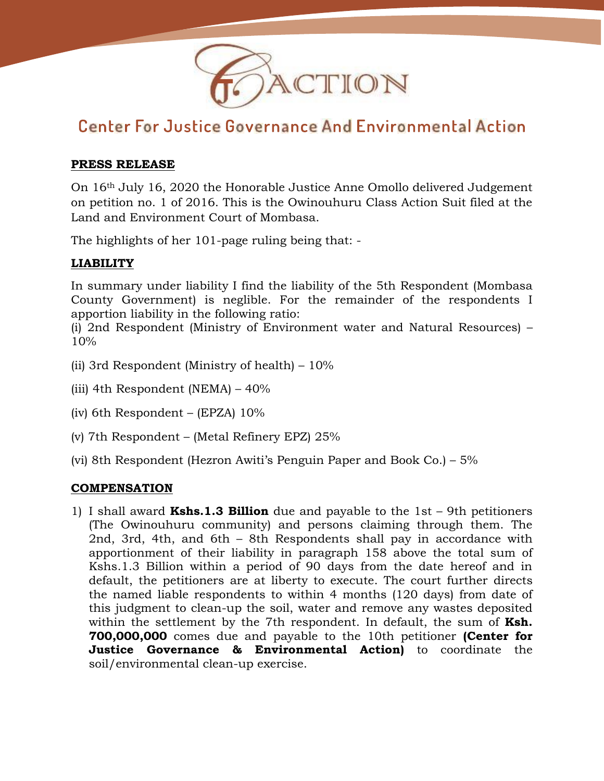

# **Center For Justice Governance And Environmental Action**

### **PRESS RELEASE**

On 16th July 16, 2020 the Honorable Justice Anne Omollo delivered Judgement on petition no. 1 of 2016. This is the Owinouhuru Class Action Suit filed at the Land and Environment Court of Mombasa.

The highlights of her 101-page ruling being that: -

# **LIABILITY**

In summary under liability I find the liability of the 5th Respondent (Mombasa County Government) is neglible. For the remainder of the respondents I apportion liability in the following ratio:

(i) 2nd Respondent (Ministry of Environment water and Natural Resources) – 10%

- (ii) 3rd Respondent (Ministry of health)  $-10\%$
- (iii) 4th Respondent (NEMA) 40%
- (iv) 6th Respondent (EPZA) 10%
- (v) 7th Respondent (Metal Refinery EPZ) 25%
- (vi) 8th Respondent (Hezron Awiti's Penguin Paper and Book Co.) 5%

## **COMPENSATION**

1) I shall award **Kshs.1.3 Billion** due and payable to the 1st – 9th petitioners (The Owinouhuru community) and persons claiming through them. The 2nd, 3rd, 4th, and 6th – 8th Respondents shall pay in accordance with apportionment of their liability in paragraph 158 above the total sum of Kshs.1.3 Billion within a period of 90 days from the date hereof and in default, the petitioners are at liberty to execute. The court further directs the named liable respondents to within 4 months (120 days) from date of this judgment to clean-up the soil, water and remove any wastes deposited within the settlement by the 7th respondent. In default, the sum of **Ksh. 700,000,000** comes due and payable to the 10th petitioner **(Center for Justice Governance & Environmental Action)** to coordinate the soil/environmental clean-up exercise.